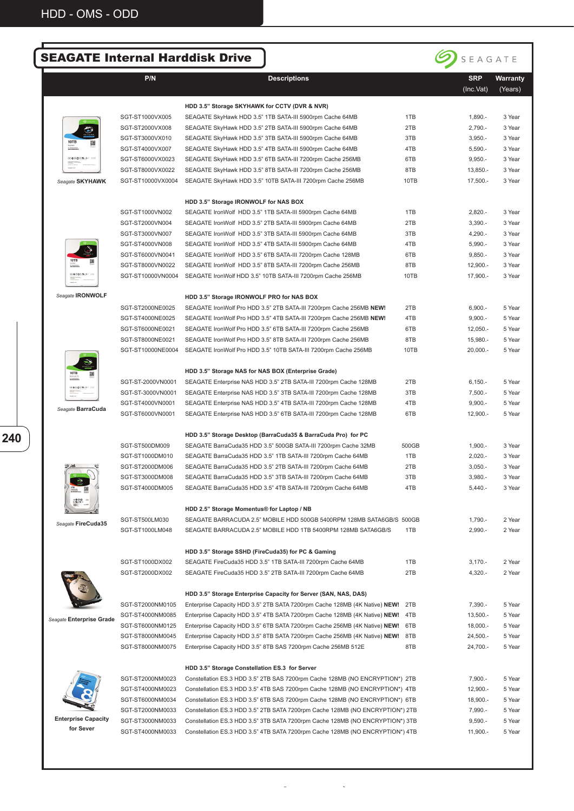|                          |                   | <b>SEAGATE Internal Harddisk Drive</b>                                       |       | SEAGATE                 |                     |
|--------------------------|-------------------|------------------------------------------------------------------------------|-------|-------------------------|---------------------|
|                          | P/N               | <b>Descriptions</b>                                                          |       | <b>SRP</b><br>(Inc.Vat) | Warranty<br>(Years) |
|                          |                   | HDD 3.5" Storage SKYHAWK for CCTV (DVR & NVR)                                |       |                         |                     |
|                          | SGT-ST1000VX005   | SEAGATE SkyHawk HDD 3.5" 1TB SATA-III 5900rpm Cache 64MB                     | 1TB   | $1,890. -$              | 3 Year              |
|                          | SGT-ST2000VX008   | SEAGATE SkyHawk HDD 3.5" 2TB SATA-III 5900rpm Cache 64MB                     | 2TB   | $2,790. -$              | 3 Year              |
| 10TB                     | SGT-ST3000VX010   | SEAGATE SkyHawk HDD 3.5" 3TB SATA-III 5900rpm Cache 64MB                     | 3TB   | $3,950. -$              | 3 Year              |
|                          | SGT-ST4000VX007   | SEAGATE SkyHawk HDD 3.5" 4TB SATA-III 5900rpm Cache 64MB                     | 4TB   | $5,590. -$              | 3 Year              |
| ((@9@3.%-43 .31)         | SGT-ST6000VX0023  | SEAGATE SkyHawk HDD 3.5" 6TB SATA-III 7200rpm Cache 256MB                    | 6TB   | $9,950. -$              | 3 Year              |
|                          | SGT-ST8000VX0022  | SEAGATE SkyHawk HDD 3.5" 8TB SATA-III 7200rpm Cache 256MB                    | 8TB   | $13,850. -$             | 3 Year              |
| Seagate SKYHAWK          | SGT-ST10000VX0004 | SEAGATE SkyHawk HDD 3.5" 10TB SATA-III 7200rpm Cache 256MB                   | 10TB  | 17,500 .-               | 3 Year              |
|                          |                   | HDD 3.5" Storage IRONWOLF for NAS BOX                                        |       |                         |                     |
|                          | SGT-ST1000VN002   | SEAGATE IronWolf HDD 3.5" 1TB SATA-III 5900rpm Cache 64MB                    | 1TB   | $2,820. -$              | 3 Year              |
|                          | SGT-ST2000VN004   | SEAGATE IronWolf HDD 3.5" 2TB SATA-III 5900rpm Cache 64MB                    | 2TB   | $3,390. -$              | 3 Year              |
|                          | SGT-ST3000VN007   | SEAGATE IronWolf HDD 3.5" 3TB SATA-III 5900rpm Cache 64MB                    | 3TB   | $4,290. -$              | 3 Year              |
|                          | SGT-ST4000VN008   | SEAGATE IronWolf HDD 3.5" 4TB SATA-III 5900rpm Cache 64MB                    | 4TB   | $5,990. -$              | 3 Year              |
|                          | SGT-ST6000VN0041  | SEAGATE IronWolf HDD 3.5" 6TB SATA-III 7200rpm Cache 128MB                   | 6TB   | $9,850. -$              | 3 Year              |
| CE @ 9 @ T.M. AT         | SGT-ST8000VN0022  | SEAGATE IronWolf HDD 3.5" 8TB SATA-III 7200rpm Cache 256MB                   | 8TB   | $12,900. -$             | 3 Year              |
|                          | SGT-ST10000VN0004 | SEAGATE IronWolf HDD 3.5" 10TB SATA-III 7200rpm Cache 256MB                  | 10TB  | 17,900.-                | 3 Year              |
| Seagate <b>IRONWOLF</b>  |                   | HDD 3.5" Storage IRONWOLF PRO for NAS BOX                                    |       |                         |                     |
|                          | SGT-ST2000NE0025  | SEAGATE IronWolf Pro HDD 3.5" 2TB SATA-III 7200rpm Cache 256MB NEW!          | 2TB   | $6,900. -$              | 5 Year              |
|                          | SGT-ST4000NE0025  | SEAGATE IronWolf Pro HDD 3.5" 4TB SATA-III 7200rpm Cache 256MB NEW!          | 4TB   | $9,900. -$              | 5 Year              |
|                          | SGT-ST6000NE0021  | SEAGATE IronWolf Pro HDD 3.5" 6TB SATA-III 7200rpm Cache 256MB               | 6TB   | $12,050. -$             | 5 Year              |
|                          | SGT-ST8000NE0021  | SEAGATE IronWolf Pro HDD 3.5" 8TB SATA-III 7200rpm Cache 256MB               | 8TB   | 15,980.-                | 5 Year              |
|                          | SGT-ST10000NE0004 | SEAGATE IronWolf Pro HDD 3.5" 10TB SATA-III 7200rpm Cache 256MB              | 10TB  | 20,000.-                | 5 Year              |
| 10TB                     |                   | HDD 3.5" Storage NAS for NAS BOX (Enterprise Grade)                          |       |                         |                     |
| <b>CEOROTALAX 411</b>    | SGT-ST-2000VN0001 | SEAGATE Enterprise NAS HDD 3.5" 2TB SATA-III 7200rpm Cache 128MB             | 2TB   | $6,150. -$              | 5 Year              |
|                          | SGT-ST-3000VN0001 | SEAGATE Enterprise NAS HDD 3.5" 3TB SATA-III 7200rpm Cache 128MB             | 3TB   | $7,500. -$              | 5 Year              |
|                          | SGT-ST4000VN0001  | SEAGATE Enterprise NAS HDD 3.5" 4TB SATA-III 7200rpm Cache 128MB             | 4TB   | $9,900. -$              | 5 Year              |
| Seagate BarraCuda        | SGT-ST6000VN0001  | SEAGATE Enterprise NAS HDD 3.5" 6TB SATA-III 7200rpm Cache 128MB             | 6TB   | $12,900. -$             | 5 Year              |
|                          |                   | HDD 3.5" Storage Desktop (BarraCuda35 & BarraCuda Pro) for PC                |       |                         |                     |
|                          | SGT-ST500DM009    | SEAGATE BarraCuda35 HDD 3.5" 500GB SATA-III 7200rpm Cache 32MB               | 500GB | $1,900. -$              | 3 Year              |
|                          | SGT-ST1000DM010   | SEAGATE BarraCuda35 HDD 3.5" 1TB SATA-III 7200rpm Cache 64MB                 | 1TB   | $2,020. -$              | 3 Year              |
|                          | SGT-ST2000DM006   | SEAGATE BarraCuda35 HDD 3.5" 2TB SATA-III 7200rpm Cache 64MB                 | 2TB   | $3,050. -$              | 3 Year              |
|                          | SGT-ST3000DM008   | SEAGATE BarraCuda35 HDD 3.5" 3TB SATA-III 7200rpm Cache 64MB                 | 3TB   | $3,980. -$              | 3 Year              |
|                          | SGT-ST4000DM005   | SEAGATE BarraCuda35 HDD 3.5" 4TB SATA-III 7200rpm Cache 64MB                 | 4TB   | $5,440. -$              | 3 Year              |
|                          |                   | HDD 2.5" Storage Momentus® for Laptop / NB                                   |       |                         |                     |
|                          | SGT-ST500LM030    | SEAGATE BARRACUDA 2.5" MOBILE HDD 500GB 5400RPM 128MB SATA6GB/S 500GB        |       | 1,790.-                 | 2 Year              |
| Seagate FireCuda35       | SGT-ST1000LM048   | SEAGATE BARRACUDA 2.5" MOBILE HDD 1TB 5400RPM 128MB SATA6GB/S                | 1TB   | $2,990. -$              | 2 Year              |
|                          |                   | HDD 3.5" Storage SSHD (FireCuda35) for PC & Gaming                           |       |                         |                     |
|                          | SGT-ST1000DX002   | SEAGATE FireCuda35 HDD 3.5" 1TB SATA-III 7200rpm Cache 64MB                  | 1TB   | $3,170. -$              | 2 Year              |
|                          | SGT-ST2000DX002   | SEAGATE FireCuda35 HDD 3.5" 2TB SATA-III 7200rpm Cache 64MB                  | 2TB   | 4,320.-                 | 2 Year              |
|                          |                   | HDD 3.5" Storage Enterprise Capacity for Server (SAN, NAS, DAS)              |       |                         |                     |
|                          | SGT-ST2000NM0105  | Enterprise Capacity HDD 3.5" 2TB SATA 7200rpm Cache 128MB (4K Native) NEW!   | 2TB   | 7,390.-                 | 5 Year              |
| Seagate Enterprise Grade | SGT-ST4000NM0085  | Enterprise Capacity HDD 3.5" 4TB SATA 7200rpm Cache 128MB (4K Native) NEW!   | 4TB   | 13,500.-                | 5 Year              |
|                          | SGT-ST6000NM0125  | Enterprise Capacity HDD 3.5" 6TB SATA 7200rpm Cache 256MB (4K Native) NEW!   | 6TB   | $18,000. -$             | 5 Year              |
|                          | SGT-ST8000NM0045  | Enterprise Capacity HDD 3.5" 8TB SATA 7200rpm Cache 256MB (4K Native) NEW!   | 8TB   | 24,500 .-               | 5 Year              |
|                          | SGT-ST8000NM0075  | Enterprise Capacity HDD 3.5" 8TB SAS 7200rpm Cache 256MB 512E                | 8TB   | 24,700.-                | 5 Year              |
|                          |                   | HDD 3.5" Storage Constellation ES.3 for Server                               |       |                         |                     |
|                          | SGT-ST2000NM0023  | Constellation ES.3 HDD 3.5" 2TB SAS 7200rpm Cache 128MB (NO ENCRYPTION*) 2TB |       | 7,900.-                 | 5 Year              |
|                          | SGT-ST4000NM0023  | Constellation ES.3 HDD 3.5" 4TB SAS 7200rpm Cache 128MB (NO ENCRYPTION*) 4TB |       | 12,900.-                | 5 Year              |
|                          | SGT-ST6000NM0034  | Constellation ES.3 HDD 3.5" 6TB SAS 7200rpm Cache 128MB (NO ENCRYPTION*) 6TB |       | 18,900.-                | 5 Year              |

SGT-ST3000NM0033 Constellation ES.3 HDD 3.5" 3TB SATA 7200rpm Cache 128MB (NO ENCRYPTION\*) 3TB 9,590.- 5 Year SGT-ST4000NM0033 Constellation ES.3 HDD 3.5" 4TB SATA 7200rpm Cache 128MB (NO ENCRYPTION\*) 4TB 11,900.- 5 Year **Enterprise Capacity for Sever**

**SALES** 

**240**

SGT-ST2000NM0033 Constellation ES.3 HDD 3.5" 2TB SATA 7200rpm Cache 128MB (NO ENCRYPTION\*) 2TB 7,990.- 5 Year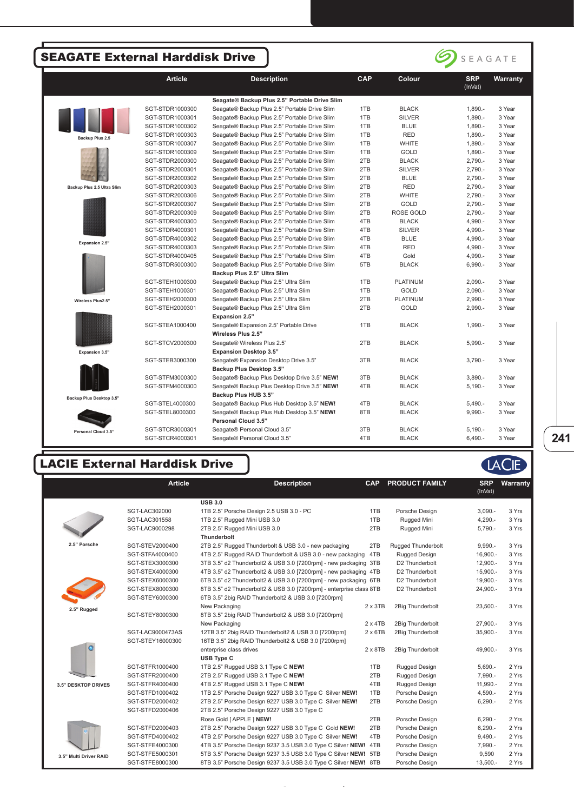## SEAGATE External Harddisk Drive



## LACIE External Harddisk Drive

|                            | <b>Article</b>   | <b>Description</b>                                                  | <b>CAP</b>      | <b>PRODUCT FAMILY</b> | <b>SRP</b><br>(InVat) | Warranty |
|----------------------------|------------------|---------------------------------------------------------------------|-----------------|-----------------------|-----------------------|----------|
|                            |                  | <b>USB 3.0</b>                                                      |                 |                       |                       |          |
|                            | SGT-LAC302000    | 1TB 2.5" Porsche Design 2.5 USB 3.0 - PC                            | 1TB             | Porsche Design        | $3,090. -$            | 3 Yrs    |
|                            | SGT-LAC301558    | 1TB 2.5" Rugged Mini USB 3.0                                        | 1TB             | Rugged Mini           | $4,290. -$            | 3 Yrs    |
|                            | SGT-LAC9000298   | 2TB 2.5" Rugged Mini USB 3.0                                        | 2TB             | Rugged Mini           | $5,790. -$            | 3 Yrs    |
|                            |                  | <b>Thunderbolt</b>                                                  |                 |                       |                       |          |
| 2.5" Porsche               | SGT-STEV2000400  | 2TB 2.5" Rugged Thunderbolt & USB 3.0 - new packaging               | 2TB             | Rugged Thunderbolt    | $9,990. -$            | 3 Yrs    |
|                            | SGT-STFA4000400  | 4TB 2.5" Rugged RAID Thunderbolt & USB 3.0 - new packaging          | 4TB             | Rugged Design         | 16,900.-              | 3 Yrs    |
|                            | SGT-STEX3000300  | 3TB 3.5" d2 Thunderbolt2 & USB 3.0 [7200rpm] - new packaging 3TB    |                 | D2 Thunderbolt        | 12,900.-              | 3 Yrs    |
|                            | SGT-STEX4000300  | 4TB 3.5" d2 Thunderbolt2 & USB 3.0 [7200rpm] - new packaging 4TB    |                 | D2 Thunderbolt        | 15,900.-              | 3 Yrs    |
|                            | SGT-STEX6000300  | 6TB 3.5" d2 Thunderbolt2 & USB 3.0 [7200rpm] - new packaging 6TB    |                 | D2 Thunderbolt        | 19,900.-              | 3 Yrs    |
|                            | SGT-STEX8000300  | 8TB 3.5" d2 Thunderbolt2 & USB 3.0 [7200rpm] - enterprise class 8TB |                 | D2 Thunderbolt        | 24,900.-              | 3 Yrs    |
|                            | SGT-STEY6000300  | 6TB 3.5" 2big RAID Thunderbolt2 & USB 3.0 [7200rpm]                 |                 |                       |                       |          |
| 2.5" Rugged                |                  | New Packaging                                                       | $2 \times 3TB$  | 2Big Thunderbolt      | $23,500. -$           | 3 Yrs    |
|                            | SGT-STEY8000300  | 8TB 3.5" 2big RAID Thunderbolt2 & USB 3.0 [7200rpm]                 |                 |                       |                       |          |
|                            |                  | New Packaging                                                       | $2 \times 4TB$  | 2Big Thunderbolt      | 27,900.-              | 3 Yrs    |
|                            | SGT-LAC9000473AS | 12TB 3.5" 2big RAID Thunderbolt2 & USB 3.0 [7200rpm]                | $2 \times 6TB$  | 2Big Thunderbolt      | 35,900.-              | 3 Yrs    |
|                            | SGT-STEY16000300 | 16TB 3.5" 2big RAID Thunderbolt2 & USB 3.0 [7200rpm]                |                 |                       |                       |          |
|                            |                  | enterprise class drives                                             | $2 \times 8$ TB | 2Big Thunderbolt      | 49,900.-              | 3 Yrs    |
|                            |                  | <b>USB Type C</b>                                                   |                 |                       |                       |          |
|                            | SGT-STFR1000400  | 1TB 2.5" Rugged USB 3.1 Type C NEW!                                 | 1TB             | Rugged Design         | $5.690 -$             | 2 Yrs    |
|                            | SGT-STFR2000400  | 2TB 2.5" Rugged USB 3.1 Type C NEW!                                 | 2TB             | Rugged Design         | 7,990.-               | 2 Yrs    |
| <b>3.5" DESKTOP DRIVES</b> | SGT-STFR4000400  | 4TB 2.5" Rugged USB 3.1 Type C NEW!                                 | 4TB             | Rugged Design         | 11,990.-              | 2 Yrs    |
|                            | SGT-STFD1000402  | 1TB 2.5" Porsche Design 9227 USB 3.0 Type C Silver NEW!             | 1TB             | Porsche Design        | $4,590. -$            | 2 Yrs    |
|                            | SGT-STFD2000402  | 2TB 2.5" Porsche Design 9227 USB 3.0 Type C Silver NEW!             | 2TB             | Porsche Design        | $6,290. -$            | 2 Yrs    |
|                            | SGT-STFD2000406  | 2TB 2.5" Porsche Design 9227 USB 3.0 Type C                         |                 |                       |                       |          |
|                            |                  | Rose Gold [ APPLE ] NEW!                                            | 2TB             | Porsche Design        | $6,290. -$            | 2 Yrs    |
|                            | SGT-STFD2000403  | 2TB 2.5" Porsche Design 9227 USB 3.0 Type C Gold NEW!               | 2TB             | Porsche Design        | $6,290. -$            | 2 Yrs    |
|                            | SGT-STFD4000402  | 4TB 2.5" Porsche Design 9227 USB 3.0 Type C Silver NEW!             | 4TB             | Porsche Design        | $9,490. -$            | 2 Yrs    |
|                            | SGT-STFE4000300  | 4TB 3.5" Porsche Design 9237 3.5 USB 3.0 Type C Silver NEW! 4TB     |                 | Porsche Design        | 7,990.-               | 2 Yrs    |
| 3.5" Multi Driver RAID     | SGT-STFE5000301  | 5TB 3.5" Porsche Design 9237 3.5 USB 3.0 Type C Silver NEW! 5TB     |                 | Porsche Design        | 9,590                 | 2 Yrs    |
|                            | SGT-STFE8000300  | 8TB 3.5" Porsche Design 9237 3.5 USB 3.0 Type C Silver NEW! 8TB     |                 | Porsche Design        | $13.500 -$            | 2 Yrs    |

ิ ้

**241**

SEAGATE